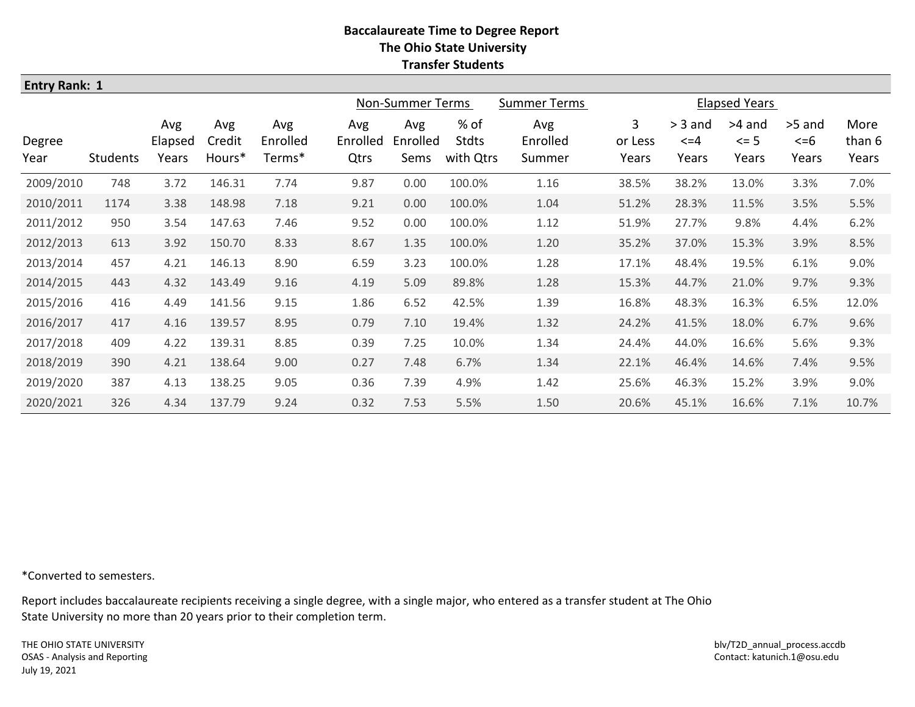| <b>Entry Rank: 1</b> |          |                         |                         |                           |                                         |                         |                            |                           |                       |                                 |                             |                              |                         |  |  |
|----------------------|----------|-------------------------|-------------------------|---------------------------|-----------------------------------------|-------------------------|----------------------------|---------------------------|-----------------------|---------------------------------|-----------------------------|------------------------------|-------------------------|--|--|
|                      |          |                         |                         |                           | Non-Summer Terms<br><b>Summer Terms</b> |                         |                            |                           | <b>Elapsed Years</b>  |                                 |                             |                              |                         |  |  |
| Degree<br>Year       | Students | Avg<br>Elapsed<br>Years | Avg<br>Credit<br>Hours* | Avg<br>Enrolled<br>Terms* | Avg<br>Enrolled<br>Qtrs                 | Avg<br>Enrolled<br>Sems | % of<br>Stdts<br>with Qtrs | Avg<br>Enrolled<br>Summer | 3<br>or Less<br>Years | $>$ 3 and<br>$\leq$ =4<br>Years | >4 and<br>$\leq$ 5<br>Years | >5 and<br>$\leq$ =6<br>Years | More<br>than 6<br>Years |  |  |
| 2009/2010            | 748      | 3.72                    | 146.31                  | 7.74                      | 9.87                                    | 0.00                    | 100.0%                     | 1.16                      | 38.5%                 | 38.2%                           | 13.0%                       | 3.3%                         | 7.0%                    |  |  |
| 2010/2011            | 1174     | 3.38                    | 148.98                  | 7.18                      | 9.21                                    | 0.00                    | 100.0%                     | 1.04                      | 51.2%                 | 28.3%                           | 11.5%                       | 3.5%                         | 5.5%                    |  |  |
| 2011/2012            | 950      | 3.54                    | 147.63                  | 7.46                      | 9.52                                    | 0.00                    | 100.0%                     | 1.12                      | 51.9%                 | 27.7%                           | 9.8%                        | 4.4%                         | 6.2%                    |  |  |
| 2012/2013            | 613      | 3.92                    | 150.70                  | 8.33                      | 8.67                                    | 1.35                    | 100.0%                     | 1.20                      | 35.2%                 | 37.0%                           | 15.3%                       | 3.9%                         | 8.5%                    |  |  |
| 2013/2014            | 457      | 4.21                    | 146.13                  | 8.90                      | 6.59                                    | 3.23                    | 100.0%                     | 1.28                      | 17.1%                 | 48.4%                           | 19.5%                       | 6.1%                         | 9.0%                    |  |  |
| 2014/2015            | 443      | 4.32                    | 143.49                  | 9.16                      | 4.19                                    | 5.09                    | 89.8%                      | 1.28                      | 15.3%                 | 44.7%                           | 21.0%                       | 9.7%                         | 9.3%                    |  |  |
| 2015/2016            | 416      | 4.49                    | 141.56                  | 9.15                      | 1.86                                    | 6.52                    | 42.5%                      | 1.39                      | 16.8%                 | 48.3%                           | 16.3%                       | 6.5%                         | 12.0%                   |  |  |
| 2016/2017            | 417      | 4.16                    | 139.57                  | 8.95                      | 0.79                                    | 7.10                    | 19.4%                      | 1.32                      | 24.2%                 | 41.5%                           | 18.0%                       | 6.7%                         | 9.6%                    |  |  |
| 2017/2018            | 409      | 4.22                    | 139.31                  | 8.85                      | 0.39                                    | 7.25                    | 10.0%                      | 1.34                      | 24.4%                 | 44.0%                           | 16.6%                       | 5.6%                         | 9.3%                    |  |  |
| 2018/2019            | 390      | 4.21                    | 138.64                  | 9.00                      | 0.27                                    | 7.48                    | 6.7%                       | 1.34                      | 22.1%                 | 46.4%                           | 14.6%                       | 7.4%                         | 9.5%                    |  |  |
| 2019/2020            | 387      | 4.13                    | 138.25                  | 9.05                      | 0.36                                    | 7.39                    | 4.9%                       | 1.42                      | 25.6%                 | 46.3%                           | 15.2%                       | 3.9%                         | 9.0%                    |  |  |
| 2020/2021            | 326      | 4.34                    | 137.79                  | 9.24                      | 0.32                                    | 7.53                    | 5.5%                       | 1.50                      | 20.6%                 | 45.1%                           | 16.6%                       | 7.1%                         | 10.7%                   |  |  |

\*Converted to semesters.

Report includes baccalaureate recipients receiving a single degree, with a single major, who entered as a transfer student at The Ohio State University no more than 20 years prior to their completion term.

THE OHIO STATE UNIVERSITY OSAS - Analysis and Reporting July 19, 2021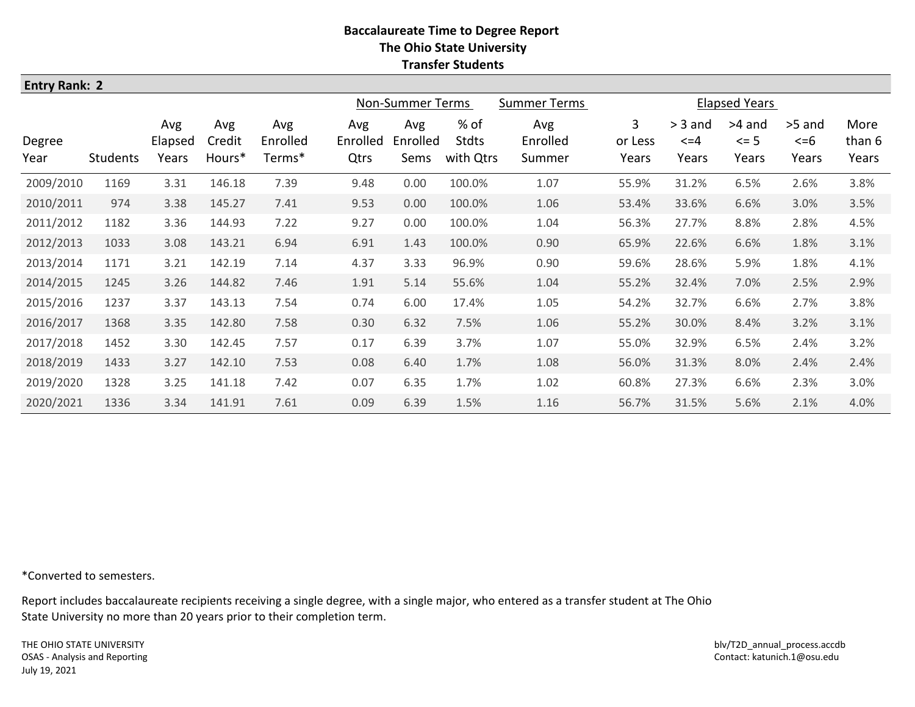| <b>Entry Rank: 2</b> |                 |                         |                         |                           |                                         |                         |                                   |                           |                       |                                 |                             |                              |                         |  |
|----------------------|-----------------|-------------------------|-------------------------|---------------------------|-----------------------------------------|-------------------------|-----------------------------------|---------------------------|-----------------------|---------------------------------|-----------------------------|------------------------------|-------------------------|--|
|                      |                 |                         |                         |                           | Non-Summer Terms<br><b>Summer Terms</b> |                         |                                   |                           | <b>Elapsed Years</b>  |                                 |                             |                              |                         |  |
| Degree<br>Year       | <b>Students</b> | Avg<br>Elapsed<br>Years | Avg<br>Credit<br>Hours* | Avg<br>Enrolled<br>Terms* | Avg<br>Enrolled<br>Qtrs                 | Avg<br>Enrolled<br>Sems | % of<br><b>Stdts</b><br>with Qtrs | Avg<br>Enrolled<br>Summer | 3<br>or Less<br>Years | $>$ 3 and<br>$\leq$ =4<br>Years | >4 and<br>$\leq$ 5<br>Years | >5 and<br>$\leq$ =6<br>Years | More<br>than 6<br>Years |  |
| 2009/2010            | 1169            | 3.31                    | 146.18                  | 7.39                      | 9.48                                    | 0.00                    | 100.0%                            | 1.07                      | 55.9%                 | 31.2%                           | 6.5%                        | 2.6%                         | 3.8%                    |  |
| 2010/2011            | 974             | 3.38                    | 145.27                  | 7.41                      | 9.53                                    | 0.00                    | 100.0%                            | 1.06                      | 53.4%                 | 33.6%                           | 6.6%                        | 3.0%                         | 3.5%                    |  |
| 2011/2012            | 1182            | 3.36                    | 144.93                  | 7.22                      | 9.27                                    | 0.00                    | 100.0%                            | 1.04                      | 56.3%                 | 27.7%                           | 8.8%                        | 2.8%                         | 4.5%                    |  |
| 2012/2013            | 1033            | 3.08                    | 143.21                  | 6.94                      | 6.91                                    | 1.43                    | 100.0%                            | 0.90                      | 65.9%                 | 22.6%                           | 6.6%                        | 1.8%                         | 3.1%                    |  |
| 2013/2014            | 1171            | 3.21                    | 142.19                  | 7.14                      | 4.37                                    | 3.33                    | 96.9%                             | 0.90                      | 59.6%                 | 28.6%                           | 5.9%                        | 1.8%                         | 4.1%                    |  |
| 2014/2015            | 1245            | 3.26                    | 144.82                  | 7.46                      | 1.91                                    | 5.14                    | 55.6%                             | 1.04                      | 55.2%                 | 32.4%                           | 7.0%                        | 2.5%                         | 2.9%                    |  |
| 2015/2016            | 1237            | 3.37                    | 143.13                  | 7.54                      | 0.74                                    | 6.00                    | 17.4%                             | 1.05                      | 54.2%                 | 32.7%                           | 6.6%                        | 2.7%                         | 3.8%                    |  |
| 2016/2017            | 1368            | 3.35                    | 142.80                  | 7.58                      | 0.30                                    | 6.32                    | 7.5%                              | 1.06                      | 55.2%                 | 30.0%                           | 8.4%                        | 3.2%                         | 3.1%                    |  |
| 2017/2018            | 1452            | 3.30                    | 142.45                  | 7.57                      | 0.17                                    | 6.39                    | 3.7%                              | 1.07                      | 55.0%                 | 32.9%                           | 6.5%                        | 2.4%                         | 3.2%                    |  |
| 2018/2019            | 1433            | 3.27                    | 142.10                  | 7.53                      | 0.08                                    | 6.40                    | 1.7%                              | 1.08                      | 56.0%                 | 31.3%                           | 8.0%                        | 2.4%                         | 2.4%                    |  |
| 2019/2020            | 1328            | 3.25                    | 141.18                  | 7.42                      | 0.07                                    | 6.35                    | 1.7%                              | 1.02                      | 60.8%                 | 27.3%                           | 6.6%                        | 2.3%                         | 3.0%                    |  |
| 2020/2021            | 1336            | 3.34                    | 141.91                  | 7.61                      | 0.09                                    | 6.39                    | 1.5%                              | 1.16                      | 56.7%                 | 31.5%                           | 5.6%                        | 2.1%                         | 4.0%                    |  |

\*Converted to semesters.

Report includes baccalaureate recipients receiving a single degree, with a single major, who entered as a transfer student at The Ohio State University no more than 20 years prior to their completion term.

THE OHIO STATE UNIVERSITY OSAS - Analysis and Reporting July 19, 2021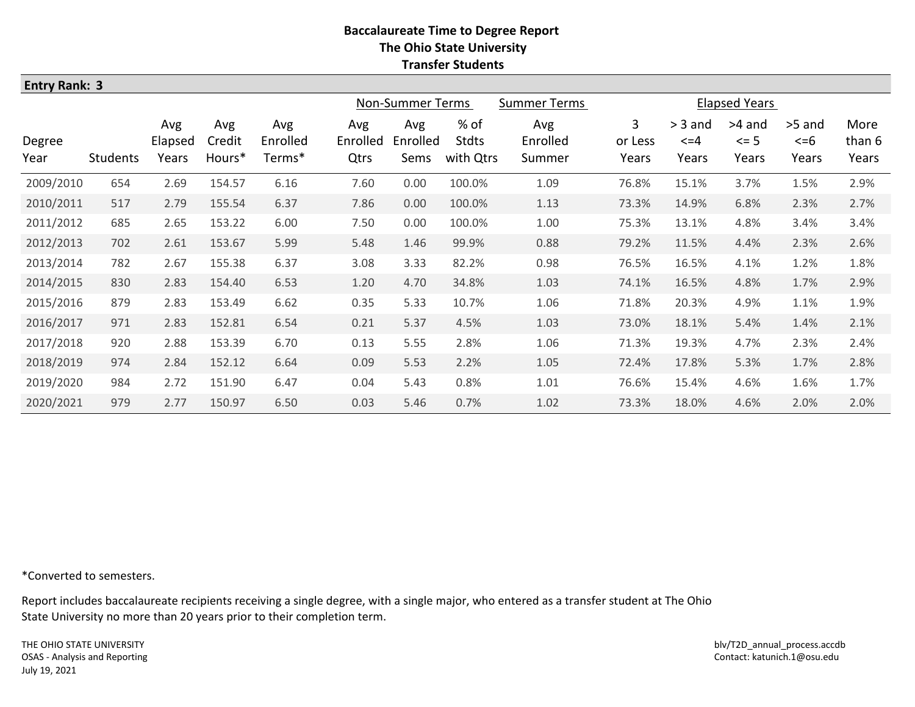| <b>Entry Rank: 3</b> |                 |                         |                         |                           |                         |                         |                            |                           |                                    |                                 |                             |                              |                         |
|----------------------|-----------------|-------------------------|-------------------------|---------------------------|-------------------------|-------------------------|----------------------------|---------------------------|------------------------------------|---------------------------------|-----------------------------|------------------------------|-------------------------|
|                      |                 |                         |                         |                           | Non-Summer Terms        |                         | <b>Summer Terms</b>        | <b>Elapsed Years</b>      |                                    |                                 |                             |                              |                         |
| Degree<br>Year       | <b>Students</b> | Avg<br>Elapsed<br>Years | Avg<br>Credit<br>Hours* | Avg<br>Enrolled<br>Terms* | Avg<br>Enrolled<br>Qtrs | Avg<br>Enrolled<br>Sems | % of<br>Stdts<br>with Qtrs | Avg<br>Enrolled<br>Summer | 3 <sup>1</sup><br>or Less<br>Years | $>$ 3 and<br>$\leq$ =4<br>Years | >4 and<br>$\leq$ 5<br>Years | >5 and<br>$\leq$ =6<br>Years | More<br>than 6<br>Years |
| 2009/2010            | 654             | 2.69                    | 154.57                  | 6.16                      | 7.60                    | 0.00                    | 100.0%                     | 1.09                      | 76.8%                              | 15.1%                           | 3.7%                        | 1.5%                         | 2.9%                    |
| 2010/2011            | 517             | 2.79                    | 155.54                  | 6.37                      | 7.86                    | 0.00                    | 100.0%                     | 1.13                      | 73.3%                              | 14.9%                           | 6.8%                        | 2.3%                         | 2.7%                    |
| 2011/2012            | 685             | 2.65                    | 153.22                  | 6.00                      | 7.50                    | 0.00                    | 100.0%                     | 1.00                      | 75.3%                              | 13.1%                           | 4.8%                        | 3.4%                         | 3.4%                    |
| 2012/2013            | 702             | 2.61                    | 153.67                  | 5.99                      | 5.48                    | 1.46                    | 99.9%                      | 0.88                      | 79.2%                              | 11.5%                           | 4.4%                        | 2.3%                         | 2.6%                    |
| 2013/2014            | 782             | 2.67                    | 155.38                  | 6.37                      | 3.08                    | 3.33                    | 82.2%                      | 0.98                      | 76.5%                              | 16.5%                           | 4.1%                        | 1.2%                         | 1.8%                    |
| 2014/2015            | 830             | 2.83                    | 154.40                  | 6.53                      | 1.20                    | 4.70                    | 34.8%                      | 1.03                      | 74.1%                              | 16.5%                           | 4.8%                        | 1.7%                         | 2.9%                    |
| 2015/2016            | 879             | 2.83                    | 153.49                  | 6.62                      | 0.35                    | 5.33                    | 10.7%                      | 1.06                      | 71.8%                              | 20.3%                           | 4.9%                        | 1.1%                         | 1.9%                    |
| 2016/2017            | 971             | 2.83                    | 152.81                  | 6.54                      | 0.21                    | 5.37                    | 4.5%                       | 1.03                      | 73.0%                              | 18.1%                           | 5.4%                        | 1.4%                         | 2.1%                    |
| 2017/2018            | 920             | 2.88                    | 153.39                  | 6.70                      | 0.13                    | 5.55                    | 2.8%                       | 1.06                      | 71.3%                              | 19.3%                           | 4.7%                        | 2.3%                         | 2.4%                    |
| 2018/2019            | 974             | 2.84                    | 152.12                  | 6.64                      | 0.09                    | 5.53                    | 2.2%                       | 1.05                      | 72.4%                              | 17.8%                           | 5.3%                        | 1.7%                         | 2.8%                    |
| 2019/2020            | 984             | 2.72                    | 151.90                  | 6.47                      | 0.04                    | 5.43                    | 0.8%                       | 1.01                      | 76.6%                              | 15.4%                           | 4.6%                        | 1.6%                         | 1.7%                    |
| 2020/2021            | 979             | 2.77                    | 150.97                  | 6.50                      | 0.03                    | 5.46                    | 0.7%                       | 1.02                      | 73.3%                              | 18.0%                           | 4.6%                        | 2.0%                         | 2.0%                    |

\*Converted to semesters.

Report includes baccalaureate recipients receiving a single degree, with a single major, who entered as a transfer student at The Ohio State University no more than 20 years prior to their completion term.

THE OHIO STATE UNIVERSITY OSAS - Analysis and Reporting July 19, 2021